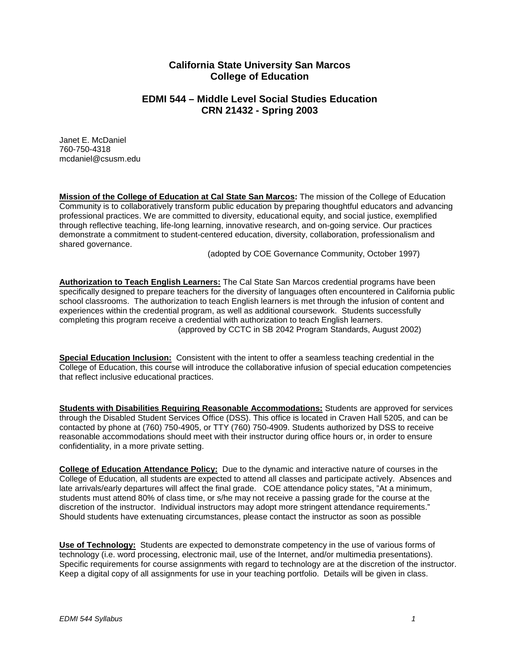# **California State University San Marcos College of Education**

# **EDMI 544 – Middle Level Social Studies Education CRN 21432 - Spring 2003**

Janet E. McDaniel 760-750-4318 [mcdaniel@csusm.edu](mailto:mcdaniel@csusm.edu)

**Mission of the College of Education at Cal State San Marcos:** The mission of the College of Education Community is to collaboratively transform public education by preparing thoughtful educators and advancing professional practices. We are committed to diversity, educational equity, and social justice, exemplified through reflective teaching, life-long learning, innovative research, and on-going service. Our practices demonstrate a commitment to student-centered education, diversity, collaboration, professionalism and shared governance.

(adopted by COE Governance Community, October 1997)

**Authorization to Teach English Learners:** The Cal State San Marcos credential programs have been specifically designed to prepare teachers for the diversity of languages often encountered in California public school classrooms. The authorization to teach English learners is met through the infusion of content and experiences within the credential program, as well as additional coursework. Students successfully completing this program receive a credential with authorization to teach English learners. (approved by CCTC in SB 2042 Program Standards, August 2002)

**Special Education Inclusion:** Consistent with the intent to offer a seamless teaching credential in the College of Education, this course will introduce the collaborative infusion of special education competencies that reflect inclusive educational practices.

**Students with Disabilities Requiring Reasonable Accommodations:** Students are approved for services through the Disabled Student Services Office (DSS). This office is located in Craven Hall 5205, and can be contacted by phone at (760) 750-4905, or TTY (760) 750-4909. Students authorized by DSS to receive reasonable accommodations should meet with their instructor during office hours or, in order to ensure confidentiality, in a more private setting.

**College of Education Attendance Policy:** Due to the dynamic and interactive nature of courses in the College of Education, all students are expected to attend all classes and participate actively. Absences and late arrivals/early departures will affect the final grade. COE attendance policy states, "At a minimum, students must attend 80% of class time, or s/he may not receive a passing grade for the course at the discretion of the instructor. Individual instructors may adopt more stringent attendance requirements." Should students have extenuating circumstances, please contact the instructor as soon as possible

**Use of Technology:** Students are expected to demonstrate competency in the use of various forms of technology (i.e. word processing, electronic mail, use of the Internet, and/or multimedia presentations). Specific requirements for course assignments with regard to technology are at the discretion of the instructor. Keep a digital copy of all assignments for use in your teaching portfolio. Details will be given in class.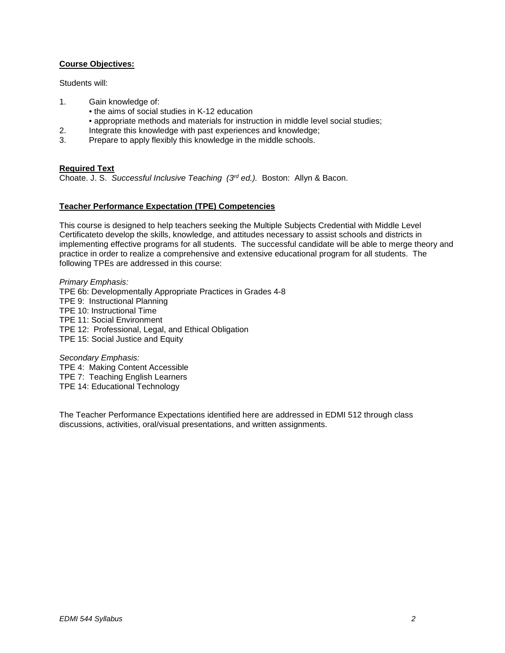## **Course Objectives:**

Students will:

- 1. Gain knowledge of:
	- the aims of social studies in K-12 education
	- appropriate methods and materials for instruction in middle level social studies;
- 2. Integrate this knowledge with past experiences and knowledge;
- 3. Prepare to apply flexibly this knowledge in the middle schools.

#### **Required Text**

Choate. J. S. *Successful Inclusive Teaching (3rd ed.).* Boston: Allyn & Bacon.

## **Teacher Performance Expectation (TPE) Competencies**

This course is designed to help teachers seeking the Multiple Subjects Credential with Middle Level Certificateto develop the skills, knowledge, and attitudes necessary to assist schools and districts in implementing effective programs for all students. The successful candidate will be able to merge theory and practice in order to realize a comprehensive and extensive educational program for all students. The following TPEs are addressed in this course:

*Primary Emphasis:* TPE 6b: Developmentally Appropriate Practices in Grades 4-8 TPE 9: Instructional Planning TPE 10: Instructional Time TPE 11: Social Environment TPE 12: Professional, Legal, and Ethical Obligation TPE 15: Social Justice and Equity

*Secondary Emphasis:* TPE 4: Making Content Accessible TPE 7: Teaching English Learners TPE 14: Educational Technology

The Teacher Performance Expectations identified here are addressed in EDMI 512 through class discussions, activities, oral/visual presentations, and written assignments.